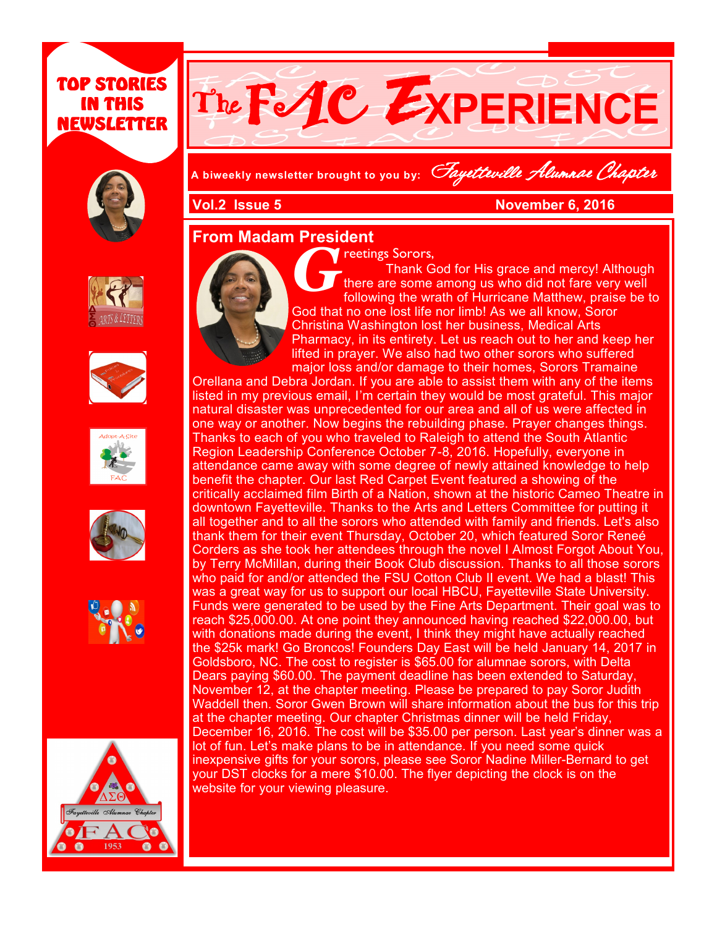## TOP STORIES IN THIS NEWSLETTER





**A biweekly newsletter brought to you by:** Fayetteville Alumnae Chapter

**Vol.2 Issue 5 November 6, 2016** 

## **From Madam President**













*G* reetings Sorors, Thank God for His grace and mercy! Although there are some among us who did not fare very well following the wrath of Hurricane Matthew, praise be to God that no one lost life nor limb! As we all know, Soror Christina Washington lost her business, Medical Arts Pharmacy, in its entirety. Let us reach out to her and keep her lifted in prayer. We also had two other sorors who suffered major loss and/or damage to their homes, Sorors Tramaine

Orellana and Debra Jordan. If you are able to assist them with any of the items listed in my previous email, I'm certain they would be most grateful. This major natural disaster was unprecedented for our area and all of us were affected in one way or another. Now begins the rebuilding phase. Prayer changes things. Thanks to each of you who traveled to Raleigh to attend the South Atlantic Region Leadership Conference October 7-8, 2016. Hopefully, everyone in attendance came away with some degree of newly attained knowledge to help benefit the chapter. Our last Red Carpet Event featured a showing of the critically acclaimed film Birth of a Nation, shown at the historic Cameo Theatre in downtown Fayetteville. Thanks to the Arts and Letters Committee for putting it all together and to all the sorors who attended with family and friends. Let's also thank them for their event Thursday, October 20, which featured Soror Reneé Corders as she took her attendees through the novel I Almost Forgot About You, by Terry McMillan, during their Book Club discussion. Thanks to all those sorors who paid for and/or attended the FSU Cotton Club II event. We had a blast! This was a great way for us to support our local HBCU, Fayetteville State University. Funds were generated to be used by the Fine Arts Department. Their goal was to reach \$25,000.00. At one point they announced having reached \$22,000.00, but with donations made during the event, I think they might have actually reached the \$25k mark! Go Broncos! Founders Day East will be held January 14, 2017 in Goldsboro, NC. The cost to register is \$65.00 for alumnae sorors, with Delta Dears paying \$60.00. The payment deadline has been extended to Saturday, November 12, at the chapter meeting. Please be prepared to pay Soror Judith Waddell then. Soror Gwen Brown will share information about the bus for this trip at the chapter meeting. Our chapter Christmas dinner will be held Friday, December 16, 2016. The cost will be \$35.00 per person. Last year's dinner was a lot of fun. Let's make plans to be in attendance. If you need some quick inexpensive gifts for your sorors, please see Soror Nadine Miller-Bernard to get your DST clocks for a mere \$10.00. The flyer depicting the clock is on the website for your viewing pleasure.